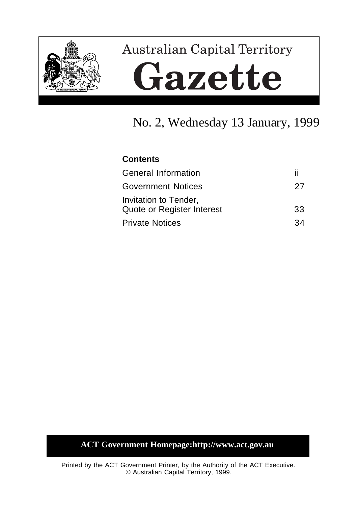

# **Australian Capital Territory** Gazette

# No. 2, Wednesday 13 January, 1999

# **Contents**

| <b>General Information</b>                          | ш  |
|-----------------------------------------------------|----|
| <b>Government Notices</b>                           | 27 |
| Invitation to Tender,<br>Quote or Register Interest | 33 |
| <b>Private Notices</b>                              | 34 |

# **ACT Government Homepage:http://www.act.gov.au**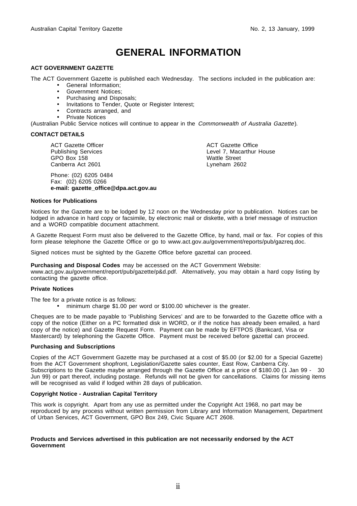# **GENERAL INFORMATION**

#### **ACT GOVERNMENT GAZETTE**

The ACT Government Gazette is published each Wednesday. The sections included in the publication are:

- General Information;
- Government Notices;
- Purchasing and Disposals;
- Invitations to Tender, Quote or Register Interest;
- Contracts arranged, and
- Private Notices

(Australian Public Service notices will continue to appear in the Commonwealth of Australia Gazette).

#### **CONTACT DETAILS**

ACT Gazette Officer Publishing Services GPO Box 158 Canberra Act 2601

Phone: (02) 6205 0484 Fax: (02) 6205 0266 **e-mail: gazette\_office@dpa.act.gov.au** ACT Gazette Office Level 7, Macarthur House Wattle Street Lyneham 2602

#### **Notices for Publications**

Notices for the Gazette are to be lodged by 12 noon on the Wednesday prior to publication. Notices can be lodged in advance in hard copy or facsimile, by electronic mail or diskette, with a brief message of instruction and a WORD compatible document attachment.

A Gazette Request Form must also be delivered to the Gazette Office, by hand, mail or fax. For copies of this form please telephone the Gazette Office or go to www.act.gov.au/government/reports/pub/gazreq.doc.

Signed notices must be sighted by the Gazette Office before gazettal can proceed.

**Purchasing and Disposal Codes** may be accessed on the ACT Government Website:

www.act.gov.au/government/report/pub/gazette/p&d.pdf. Alternatively, you may obtain a hard copy listing by contacting the gazette office.

#### **Private Notices**

The fee for a private notice is as follows:

• minimum charge \$1.00 per word or \$100.00 whichever is the greater.

Cheques are to be made payable to 'Publishing Services' and are to be forwarded to the Gazette office with a copy of the notice (Either on a PC formatted disk in WORD, or if the notice has already been emailed, a hard copy of the notice) and Gazette Request Form. Payment can be made by EFTPOS (Bankcard, Visa or Mastercard) by telephoning the Gazette Office. Payment must be received before gazettal can proceed.

#### **Purchasing and Subscriptions**

Copies of the ACT Government Gazette may be purchased at a cost of \$5.00 (or \$2.00 for a Special Gazette) from the ACT Government shopfront, Legislation/Gazette sales counter, East Row, Canberra City. Subscriptions to the Gazette maybe arranged through the Gazette Office at a price of \$180.00 (1 Jan 99 - 30 Jun 99) or part thereof, including postage. Refunds will not be given for cancellations. Claims for missing items will be recognised as valid if lodged within 28 days of publication.

#### **Copyright Notice - Australian Capital Territory**

This work is copyright. Apart from any use as permitted under the Copyright Act 1968, no part may be reproduced by any process without written permission from Library and Information Management, Department of Urban Services, ACT Government, GPO Box 249, Civic Square ACT 2608.

#### **Products and Services advertised in this publication are not necessarily endorsed by the ACT Government**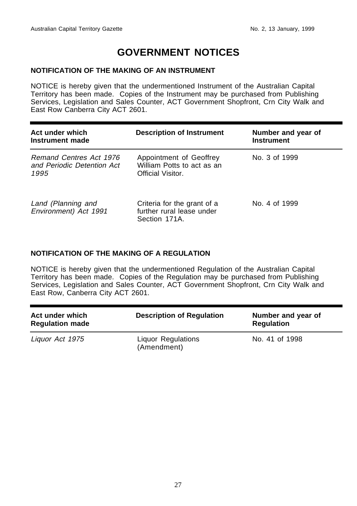# **GOVERNMENT NOTICES**

#### **NOTIFICATION OF THE MAKING OF AN INSTRUMENT**

NOTICE is hereby given that the undermentioned Instrument of the Australian Capital Territory has been made. Copies of the Instrument may be purchased from Publishing Services, Legislation and Sales Counter, ACT Government Shopfront, Crn City Walk and East Row Canberra City ACT 2601.

| Act under which<br>Instrument made                            | <b>Description of Instrument</b>                                           | Number and year of<br><b>Instrument</b> |
|---------------------------------------------------------------|----------------------------------------------------------------------------|-----------------------------------------|
| Remand Centres Act 1976<br>and Periodic Detention Act<br>1995 | Appointment of Geoffrey<br>William Potts to act as an<br>Official Visitor. | No. 3 of 1999                           |
| Land (Planning and<br>Environment) Act 1991                   | Criteria for the grant of a<br>further rural lease under<br>Section 171A.  | No. 4 of 1999                           |

#### **NOTIFICATION OF THE MAKING OF A REGULATION**

NOTICE is hereby given that the undermentioned Regulation of the Australian Capital Territory has been made. Copies of the Regulation may be purchased from Publishing Services, Legislation and Sales Counter, ACT Government Shopfront, Crn City Walk and East Row, Canberra City ACT 2601.

| Act under which<br><b>Regulation made</b> | <b>Description of Regulation</b>         | Number and year of<br><b>Regulation</b> |
|-------------------------------------------|------------------------------------------|-----------------------------------------|
| Liquor Act 1975                           | <b>Liquor Regulations</b><br>(Amendment) | No. 41 of 1998                          |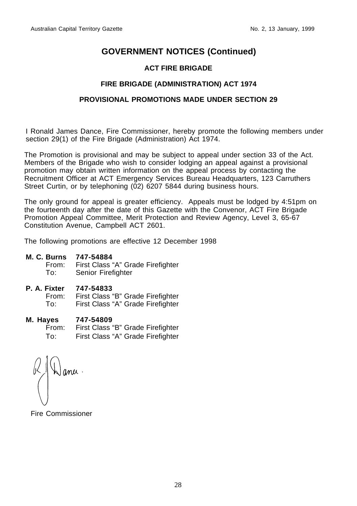## **ACT FIRE BRIGADE**

## **FIRE BRIGADE (ADMINISTRATION) ACT 1974**

#### **PROVISIONAL PROMOTIONS MADE UNDER SECTION 29**

I Ronald James Dance, Fire Commissioner, hereby promote the following members under section 29(1) of the Fire Brigade (Administration) Act 1974.

The Promotion is provisional and may be subject to appeal under section 33 of the Act. Members of the Brigade who wish to consider lodging an appeal against a provisional promotion may obtain written information on the appeal process by contacting the Recruitment Officer at ACT Emergency Services Bureau Headquarters, 123 Carruthers Street Curtin, or by telephoning (02) 6207 5844 during business hours.

The only ground for appeal is greater efficiency. Appeals must be lodged by 4:51pm on the fourteenth day after the date of this Gazette with the Convenor, ACT Fire Brigade Promotion Appeal Committee, Merit Protection and Review Agency, Level 3, 65-67 Constitution Avenue, Campbell ACT 2601.

The following promotions are effective 12 December 1998

#### **M. C. Burns 747-54884**

From: First Class "A" Grade Firefighter<br>To: Senior Firefighter Senior Firefighter

**P. A. Fixter 747-54833**

First Class "B" Grade Firefighter To: First Class "A" Grade Firefighter

**M. Hayes 747-54809**

From: First Class "B" Grade Firefighter To: First Class "A" Grade Firefighter

Fire Commissioner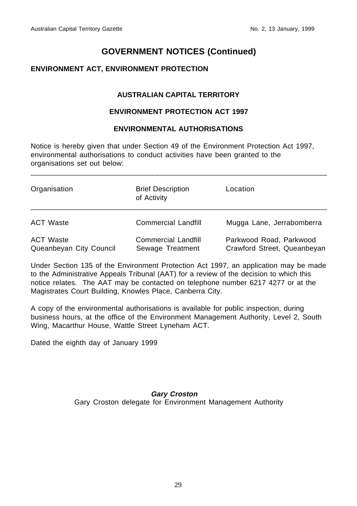## **ENVIRONMENT ACT, ENVIRONMENT PROTECTION**

## **AUSTRALIAN CAPITAL TERRITORY**

#### **ENVIRONMENT PROTECTION ACT 1997**

#### **ENVIRONMENTAL AUTHORISATIONS**

\_\_\_\_\_\_\_\_\_\_\_\_\_\_\_\_\_\_\_\_\_\_\_\_\_\_\_\_\_\_\_\_\_\_\_\_\_\_\_\_\_\_\_\_\_\_\_\_\_\_\_\_\_\_\_\_\_\_\_\_\_\_\_\_\_\_\_\_\_

Notice is hereby given that under Section 49 of the Environment Protection Act 1997, environmental authorisations to conduct activities have been granted to the organisations set out below:

| Organisation                                | <b>Brief Description</b><br>of Activity        | Location                                               |
|---------------------------------------------|------------------------------------------------|--------------------------------------------------------|
| <b>ACT Waste</b>                            | <b>Commercial Landfill</b>                     | Mugga Lane, Jerrabomberra                              |
| <b>ACT Waste</b><br>Queanbeyan City Council | <b>Commercial Landfill</b><br>Sewage Treatment | Parkwood Road, Parkwood<br>Crawford Street, Queanbeyan |

Under Section 135 of the Environment Protection Act 1997, an application may be made to the Administrative Appeals Tribunal (AAT) for a review of the decision to which this notice relates. The AAT may be contacted on telephone number 6217 4277 or at the Magistrates Court Building, Knowles Place, Canberra City.

A copy of the environmental authorisations is available for public inspection, during business hours, at the office of the Environment Management Authority, Level 2, South Wing, Macarthur House, Wattle Street Lyneham ACT.

Dated the eighth day of January 1999

**Gary Croston** Gary Croston delegate for Environment Management Authority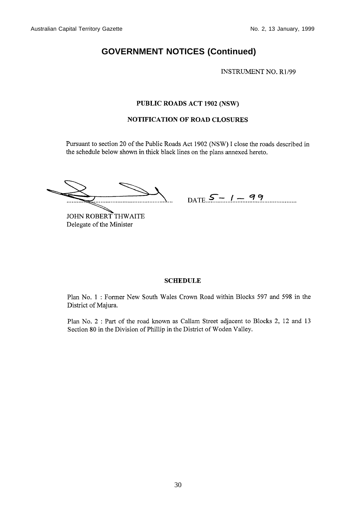**INSTRUMENT NO. R1/99** 

#### PUBLIC ROADS ACT 1902 (NSW)

#### **NOTIFICATION OF ROAD CLOSURES**

Pursuant to section 20 of the Public Roads Act 1902 (NSW) I close the roads described in the schedule below shown in thick black lines on the plans annexed hereto.

 $DATE - 1 - 99$ 

JOHN ROBERT THWAITE Delegate of the Minister

#### **SCHEDULE**

Plan No. 1: Former New South Wales Crown Road within Blocks 597 and 598 in the District of Majura.

Plan No. 2 : Part of the road known as Callam Street adjacent to Blocks 2, 12 and 13 Section 80 in the Division of Phillip in the District of Woden Valley.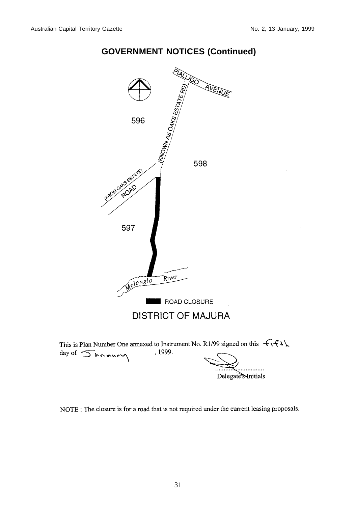



Delegate Mnitials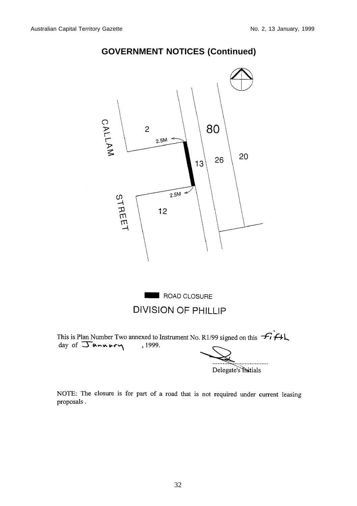

. . . . . . . . . . . Delegate's Initials

NOTE: The closure is for part of a road that is not required under current leasing proposals.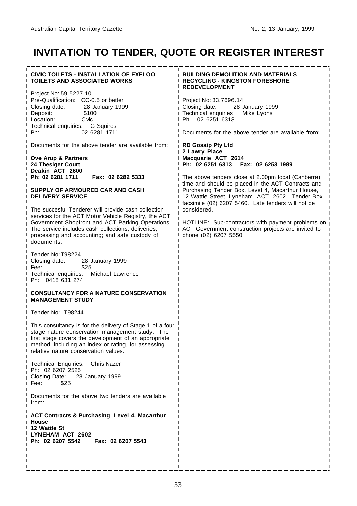# **INVITATION TO TENDER, QUOTE OR REGISTER INTEREST**

| <b>CIVIC TOILETS - INSTALLATION OF EXELOO</b><br><b>TOILETS AND ASSOCIATED WORKS</b>                                                                                                                                                                                | <b>BUILDING DEMOLITION AND MATERIALS</b><br><b>I RECYCLING - KINGSTON FORESHORE</b><br><b>REDEVELOPMENT</b>                                                                                                    |  |
|---------------------------------------------------------------------------------------------------------------------------------------------------------------------------------------------------------------------------------------------------------------------|----------------------------------------------------------------------------------------------------------------------------------------------------------------------------------------------------------------|--|
| Project No: 59.5227.10<br>Pre-Qualification: CC-0.5 or better<br>Closing date:<br>28 January 1999<br>Deposit:<br>\$100<br>Civic<br>Location:<br>Technical enquiries: G Squires<br>02 6281 1711<br>Ph:                                                               | Project No: 33.7696.14<br>Closing date:<br>28 January 1999<br>Technical enquiries:<br>Mike Lyons<br>Ph: 02 6251 6313<br>Documents for the above tender are available from:                                     |  |
| Documents for the above tender are available from:<br>Ove Arup & Partners<br>24 Thesiger Court                                                                                                                                                                      | <b>RD Gossip Pty Ltd</b><br>2 Lawry Place<br>Macquarie ACT 2614<br>Ph: 02 6251 6313  Fax: 02 6253 1989                                                                                                         |  |
| Deakin ACT 2600<br>Ph: 02 6281 1711<br>Fax: 02 6282 5333<br>SUPPLY OF ARMOURED CAR AND CASH<br><b>DELIVERY SERVICE</b>                                                                                                                                              | The above tenders close at 2.00pm local (Canberra)<br>time and should be placed in the ACT Contracts and<br>Purchasing Tender Box, Level 4, Macarthur House,<br>12 Wattle Street, Lyneham ACT 2602. Tender Box |  |
| The succesful Tenderer will provide cash collection<br>services for the ACT Motor Vehicle Registry, the ACT<br>Government Shopfront and ACT Parking Operations.                                                                                                     | facsimile (02) 6207 5460. Late tenders will not be<br>considered.<br>HOTLINE: Sub-contractors with payment problems on<br>ACT Government construction projects are invited to<br>phone (02) 6207 5550.         |  |
| The service includes cash collections, deliveries,<br>processing and accounting; and safe custody of<br>documents.                                                                                                                                                  |                                                                                                                                                                                                                |  |
| Tender No: T98224<br>Closing date:<br>28 January 1999<br>\$25<br>Fee:<br>Technical enquiries: Michael Lawrence<br>Ph: 0418 631 274                                                                                                                                  |                                                                                                                                                                                                                |  |
| <b>CONSULTANCY FOR A NATURE CONSERVATION</b><br><b>MANAGEMENT STUDY</b>                                                                                                                                                                                             |                                                                                                                                                                                                                |  |
| Tender No: T98244                                                                                                                                                                                                                                                   |                                                                                                                                                                                                                |  |
| This consultancy is for the delivery of Stage 1 of a four<br>stage nature conservation management study. The<br>first stage covers the development of an appropriate<br>method, including an index or rating, for assessing<br>relative nature conservation values. |                                                                                                                                                                                                                |  |
| Technical Enquiries: Chris Nazer<br>Ph: 02 6207 2525<br>Closing Date:<br>28 January 1999<br>Fee:<br>\$25                                                                                                                                                            |                                                                                                                                                                                                                |  |
| Documents for the above two tenders are available<br>from:                                                                                                                                                                                                          |                                                                                                                                                                                                                |  |
| <b>ACT Contracts &amp; Purchasing Level 4, Macarthur</b><br>House<br>12 Wattle St<br>LYNEHAM ACT 2602<br>Ph: 02 6207 5542   Fax: 02 6207 5543                                                                                                                       |                                                                                                                                                                                                                |  |
|                                                                                                                                                                                                                                                                     |                                                                                                                                                                                                                |  |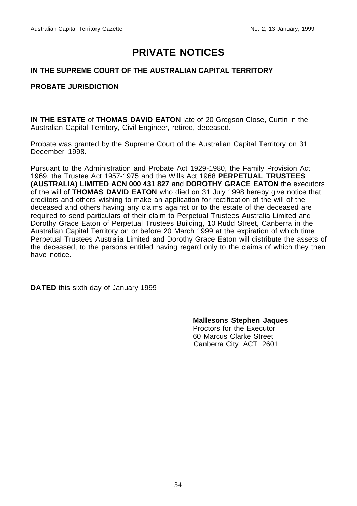# **PRIVATE NOTICES**

#### **IN THE SUPREME COURT OF THE AUSTRALIAN CAPITAL TERRITORY**

#### **PROBATE JURISDICTION**

**IN THE ESTATE** of **THOMAS DAVID EATON** late of 20 Gregson Close, Curtin in the Australian Capital Territory, Civil Engineer, retired, deceased.

Probate was granted by the Supreme Court of the Australian Capital Territory on 31 December 1998.

Pursuant to the Administration and Probate Act 1929-1980, the Family Provision Act 1969, the Trustee Act 1957-1975 and the Wills Act 1968 **PERPETUAL TRUSTEES (AUSTRALIA) LIMITED ACN 000 431 827** and **DOROTHY GRACE EATON** the executors of the will of **THOMAS DAVID EATON** who died on 31 July 1998 hereby give notice that creditors and others wishing to make an application for rectification of the will of the deceased and others having any claims against or to the estate of the deceased are required to send particulars of their claim to Perpetual Trustees Australia Limited and Dorothy Grace Eaton of Perpetual Trustees Building, 10 Rudd Street, Canberra in the Australian Capital Territory on or before 20 March 1999 at the expiration of which time Perpetual Trustees Australia Limited and Dorothy Grace Eaton will distribute the assets of the deceased, to the persons entitled having regard only to the claims of which they then have notice.

**DATED** this sixth day of January 1999

**Mallesons Stephen Jaques** Proctors for the Executor 60 Marcus Clarke Street Canberra City ACT 2601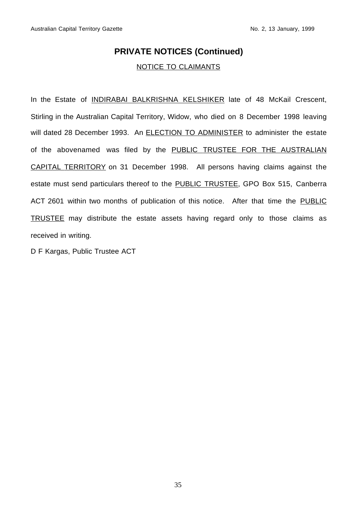## **PRIVATE NOTICES (Continued)**

#### NOTICE TO CLAIMANTS

In the Estate of **INDIRABAI BALKRISHNA KELSHIKER** late of 48 McKail Crescent, Stirling in the Australian Capital Territory, Widow, who died on 8 December 1998 leaving will dated 28 December 1993. An **ELECTION TO ADMINISTER** to administer the estate of the abovenamed was filed by the PUBLIC TRUSTEE FOR THE AUSTRALIAN CAPITAL TERRITORY on 31 December 1998. All persons having claims against the estate must send particulars thereof to the PUBLIC TRUSTEE, GPO Box 515, Canberra ACT 2601 within two months of publication of this notice. After that time the PUBLIC TRUSTEE may distribute the estate assets having regard only to those claims as received in writing.

D F Kargas, Public Trustee ACT

35